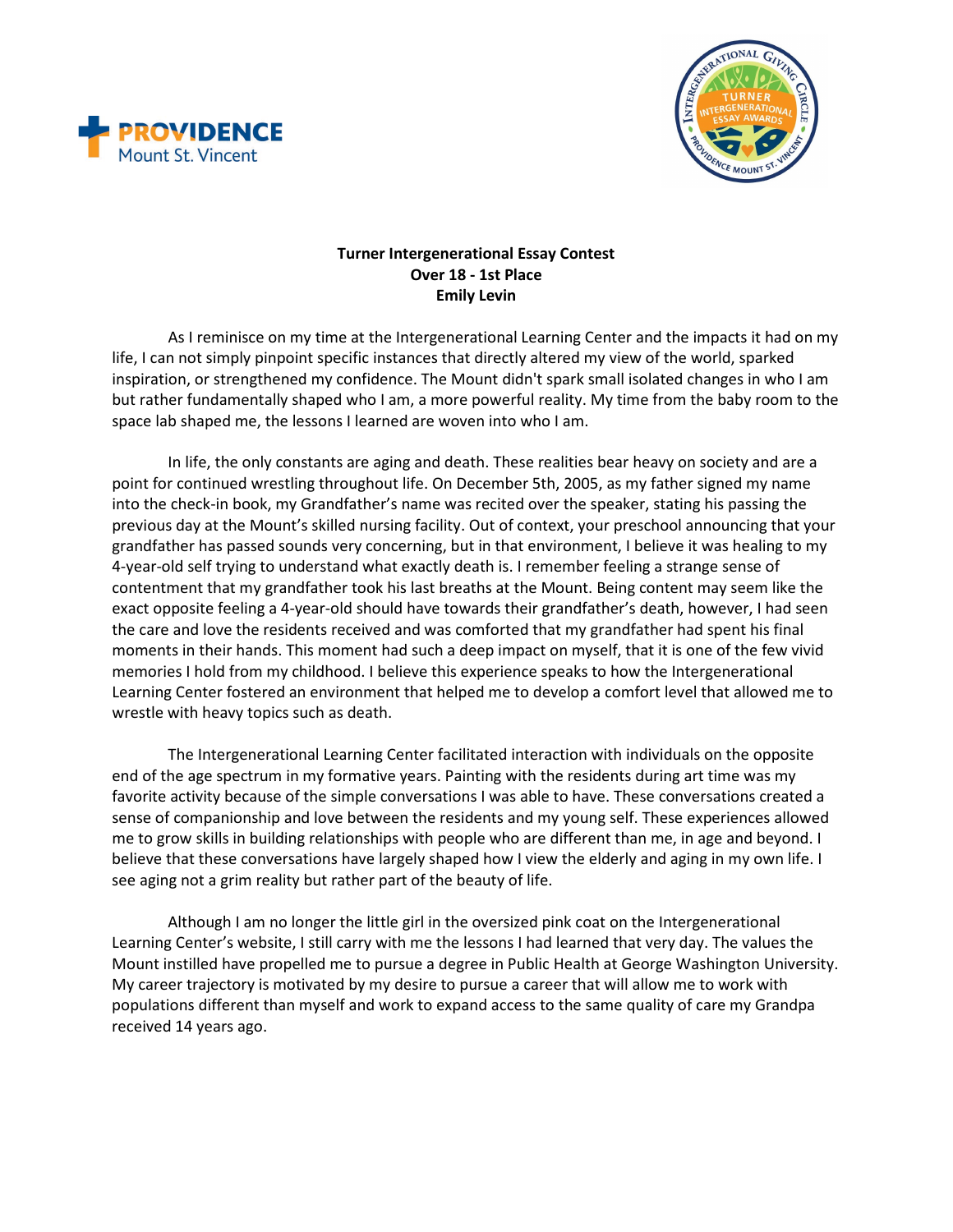



## **Turner Intergenerational Essay Contest Over 18 - 1st Place Emily Levin**

As I reminisce on my time at the Intergenerational Learning Center and the impacts it had on my life, I can not simply pinpoint specific instances that directly altered my view of the world, sparked inspiration, or strengthened my confidence. The Mount didn't spark small isolated changes in who I am but rather fundamentally shaped who I am, a more powerful reality. My time from the baby room to the space lab shaped me, the lessons I learned are woven into who I am.

In life, the only constants are aging and death. These realities bear heavy on society and are a point for continued wrestling throughout life. On December 5th, 2005, as my father signed my name into the check-in book, my Grandfather's name was recited over the speaker, stating his passing the previous day at the Mount's skilled nursing facility. Out of context, your preschool announcing that your grandfather has passed sounds very concerning, but in that environment, I believe it was healing to my 4-year-old self trying to understand what exactly death is. I remember feeling a strange sense of contentment that my grandfather took his last breaths at the Mount. Being content may seem like the exact opposite feeling a 4-year-old should have towards their grandfather's death, however, I had seen the care and love the residents received and was comforted that my grandfather had spent his final moments in their hands. This moment had such a deep impact on myself, that it is one of the few vivid memories I hold from my childhood. I believe this experience speaks to how the Intergenerational Learning Center fostered an environment that helped me to develop a comfort level that allowed me to wrestle with heavy topics such as death.

The Intergenerational Learning Center facilitated interaction with individuals on the opposite end of the age spectrum in my formative years. Painting with the residents during art time was my favorite activity because of the simple conversations I was able to have. These conversations created a sense of companionship and love between the residents and my young self. These experiences allowed me to grow skills in building relationships with people who are different than me, in age and beyond. I believe that these conversations have largely shaped how I view the elderly and aging in my own life. I see aging not a grim reality but rather part of the beauty of life.

Although I am no longer the little girl in the oversized pink coat on the Intergenerational Learning Center's website, I still carry with me the lessons I had learned that very day. The values the Mount instilled have propelled me to pursue a degree in Public Health at George Washington University. My career trajectory is motivated by my desire to pursue a career that will allow me to work with populations different than myself and work to expand access to the same quality of care my Grandpa received 14 years ago.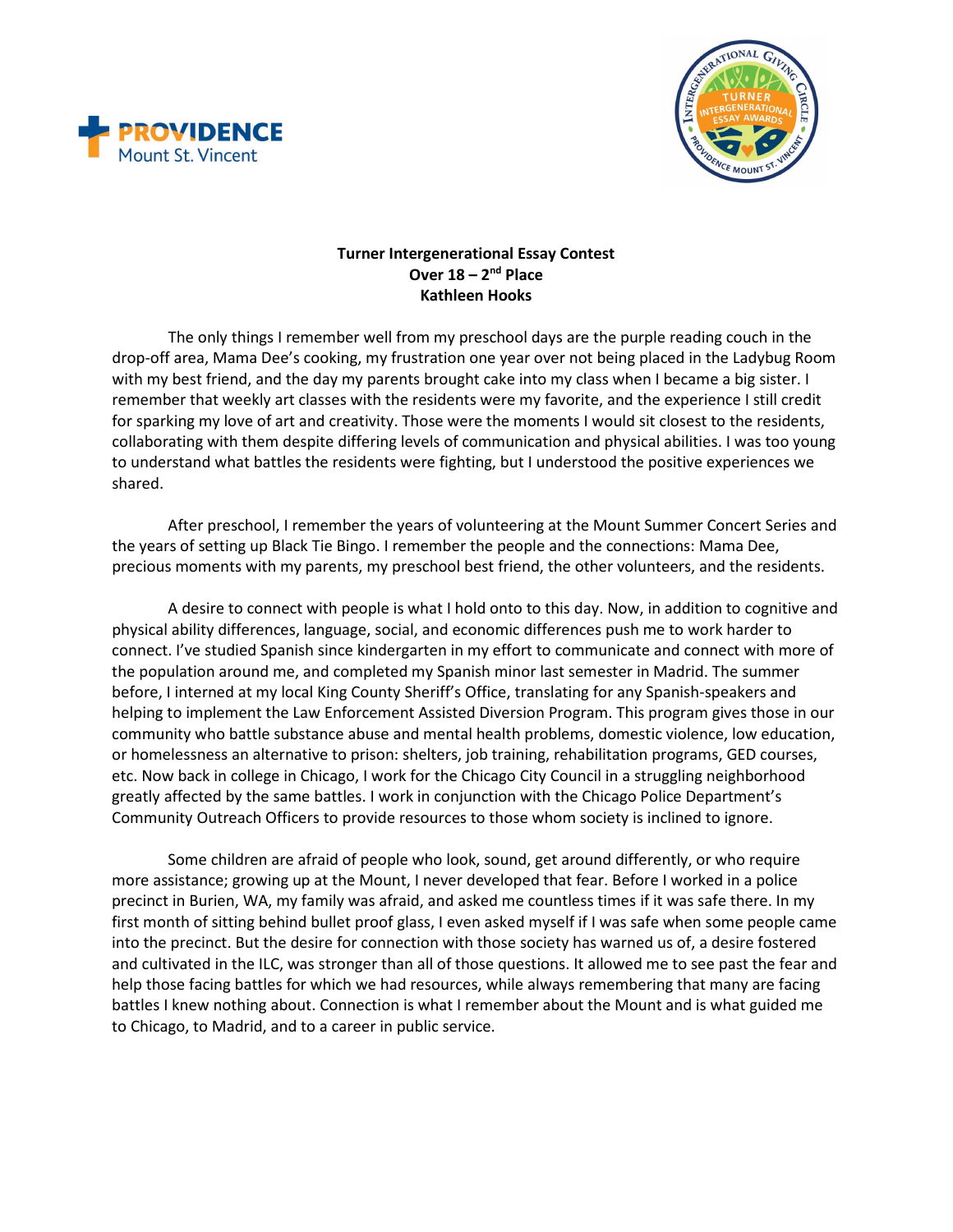



## **Turner Intergenerational Essay Contest Over 18 – 2nd Place Kathleen Hooks**

The only things I remember well from my preschool days are the purple reading couch in the drop-off area, Mama Dee's cooking, my frustration one year over not being placed in the Ladybug Room with my best friend, and the day my parents brought cake into my class when I became a big sister. I remember that weekly art classes with the residents were my favorite, and the experience I still credit for sparking my love of art and creativity. Those were the moments I would sit closest to the residents, collaborating with them despite differing levels of communication and physical abilities. I was too young to understand what battles the residents were fighting, but I understood the positive experiences we shared.

After preschool, I remember the years of volunteering at the Mount Summer Concert Series and the years of setting up Black Tie Bingo. I remember the people and the connections: Mama Dee, precious moments with my parents, my preschool best friend, the other volunteers, and the residents.

A desire to connect with people is what I hold onto to this day. Now, in addition to cognitive and physical ability differences, language, social, and economic differences push me to work harder to connect. I've studied Spanish since kindergarten in my effort to communicate and connect with more of the population around me, and completed my Spanish minor last semester in Madrid. The summer before, I interned at my local King County Sheriff's Office, translating for any Spanish-speakers and helping to implement the Law Enforcement Assisted Diversion Program. This program gives those in our community who battle substance abuse and mental health problems, domestic violence, low education, or homelessness an alternative to prison: shelters, job training, rehabilitation programs, GED courses, etc. Now back in college in Chicago, I work for the Chicago City Council in a struggling neighborhood greatly affected by the same battles. I work in conjunction with the Chicago Police Department's Community Outreach Officers to provide resources to those whom society is inclined to ignore.

Some children are afraid of people who look, sound, get around differently, or who require more assistance; growing up at the Mount, I never developed that fear. Before I worked in a police precinct in Burien, WA, my family was afraid, and asked me countless times if it was safe there. In my first month of sitting behind bullet proof glass, I even asked myself if I was safe when some people came into the precinct. But the desire for connection with those society has warned us of, a desire fostered and cultivated in the ILC, was stronger than all of those questions. It allowed me to see past the fear and help those facing battles for which we had resources, while always remembering that many are facing battles I knew nothing about. Connection is what I remember about the Mount and is what guided me to Chicago, to Madrid, and to a career in public service.